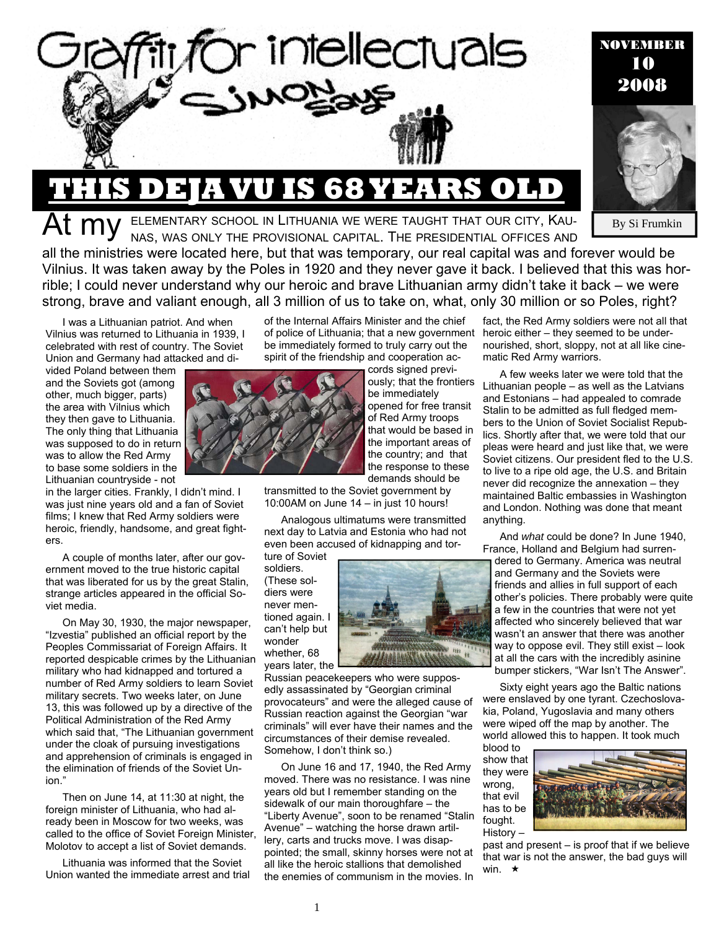

# **THIS 68 YEARS**

ELEMENTARY SCHOOL IN LITHUANIA WE WERE TAUGHT THAT OUR CITY, KAU-NAS, WAS ONLY THE PROVISIONAL CAPITAL. THE PRESIDENTIAL OFFICES AND

By Si Frumkin

NOVEMBER 10 2008

all the ministries were located here, but that was temporary, our real capital was and forever would be Vilnius. It was taken away by the Poles in 1920 and they never gave it back. I believed that this was horrible; I could never understand why our heroic and brave Lithuanian army didn't take it back – we were strong, brave and valiant enough, all 3 million of us to take on, what, only 30 million or so Poles, right?

I was a Lithuanian patriot. And when Vilnius was returned to Lithuania in 1939, I celebrated with rest of country. The Soviet Union and Germany had attacked and di-

vided Poland between them and the Soviets got (among other, much bigger, parts) the area with Vilnius which they then gave to Lithuania. The only thing that Lithuania was supposed to do in return was to allow the Red Army to base some soldiers in the Lithuanian countryside - not

in the larger cities. Frankly, I didn't mind. I was just nine years old and a fan of Soviet films; I knew that Red Army soldiers were heroic, friendly, handsome, and great fighters.

A couple of months later, after our government moved to the true historic capital that was liberated for us by the great Stalin, strange articles appeared in the official Soviet media.

On May 30, 1930, the major newspaper, "Izvestia" published an official report by the Peoples Commissariat of Foreign Affairs. It reported despicable crimes by the Lithuanian military who had kidnapped and tortured a number of Red Army soldiers to learn Soviet military secrets. Two weeks later, on June 13, this was followed up by a directive of the Political Administration of the Red Army which said that, "The Lithuanian government under the cloak of pursuing investigations and apprehension of criminals is engaged in the elimination of friends of the Soviet Union."

Then on June 14, at 11:30 at night, the foreign minister of Lithuania, who had already been in Moscow for two weeks, was called to the office of Soviet Foreign Minister, Molotov to accept a list of Soviet demands.

Lithuania was informed that the Soviet Union wanted the immediate arrest and trial of the Internal Affairs Minister and the chief of police of Lithuania; that a new government heroic either – they seemed to be underbe immediately formed to truly carry out the spirit of the friendship and cooperation ac-

> cords signed previously; that the frontiers be immediately opened for free transit of Red Army troops that would be based in the important areas of the country; and that the response to these demands should be

transmitted to the Soviet government by 10:00AM on June 14 – in just 10 hours!

Analogous ultimatums were transmitted next day to Latvia and Estonia who had not even been accused of kidnapping and torture of Soviet

soldiers. (These soldiers were never mentioned again. I can't help but wonder whether, 68 years later, the



Russian peacekeepers who were supposedly assassinated by "Georgian criminal provocateurs" and were the alleged cause of Russian reaction against the Georgian "war criminals" will ever have their names and the circumstances of their demise revealed. Somehow, I don't think so.)

On June 16 and 17, 1940, the Red Army moved. There was no resistance. I was nine years old but I remember standing on the sidewalk of our main thoroughfare – the "Liberty Avenue", soon to be renamed "Stalin Avenue" – watching the horse drawn artillery, carts and trucks move. I was disappointed; the small, skinny horses were not at all like the heroic stallions that demolished the enemies of communism in the movies. In

fact, the Red Army soldiers were not all that nourished, short, sloppy, not at all like cinematic Red Army warriors.

A few weeks later we were told that the Lithuanian people – as well as the Latvians and Estonians – had appealed to comrade Stalin to be admitted as full fledged members to the Union of Soviet Socialist Republics. Shortly after that, we were told that our pleas were heard and just like that, we were Soviet citizens. Our president fled to the U.S. to live to a ripe old age, the U.S. and Britain never did recognize the annexation – they maintained Baltic embassies in Washington and London. Nothing was done that meant anything.

And *what* could be done? In June 1940, France, Holland and Belgium had surren-

dered to Germany. America was neutral and Germany and the Soviets were friends and allies in full support of each other's policies. There probably were quite a few in the countries that were not yet affected who sincerely believed that war wasn't an answer that there was another way to oppose evil. They still exist – look at all the cars with the incredibly asinine bumper stickers, "War Isn't The Answer".

Sixty eight years ago the Baltic nations were enslaved by one tyrant. Czechoslovakia, Poland, Yugoslavia and many others were wiped off the map by another. The world allowed this to happen. It took much blood to

show that they were wrong, that evil has to be fought. History –



past and present – is proof that if we believe that war is not the answer, the bad guys will win.  $\star$ 

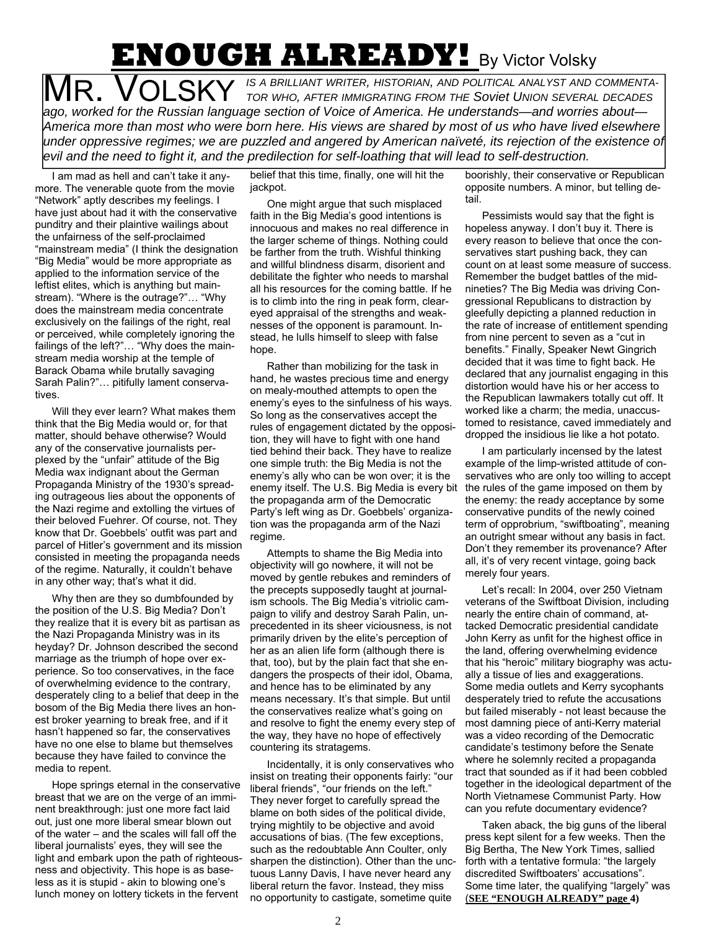# **ENOUGH ALREADY!** By Victor Volsky

**MR. VOLSKY** IS A BRILLIANT WRITER, HISTORIAN, AND POLITICAL ANALYST AND COMMENTA-<br>TOR WHO, AFTER IMMIGRATING FROM THE SOVIET UNION SEVERAL DECADES *ago, worked for the Russian language section of Voice of America. He understands—and worries about— America more than most who were born here. His views are shared by most of us who have lived elsewhere under oppressive regimes; we are puzzled and angered by American naïveté, its rejection of the existence of evil and the need to fight it, and the predilection for self-loathing that will lead to self-destruction.* 

I am mad as hell and can't take it anymore. The venerable quote from the movie "Network" aptly describes my feelings. I have just about had it with the conservative punditry and their plaintive wailings about the unfairness of the self-proclaimed "mainstream media" (I think the designation "Big Media" would be more appropriate as applied to the information service of the leftist elites, which is anything but mainstream). "Where is the outrage?"… "Why does the mainstream media concentrate exclusively on the failings of the right, real or perceived, while completely ignoring the failings of the left?"… "Why does the mainstream media worship at the temple of Barack Obama while brutally savaging Sarah Palin?"… pitifully lament conservatives.

Will they ever learn? What makes them think that the Big Media would or, for that matter, should behave otherwise? Would any of the conservative journalists perplexed by the "unfair" attitude of the Big Media wax indignant about the German Propaganda Ministry of the 1930's spreading outrageous lies about the opponents of the Nazi regime and extolling the virtues of their beloved Fuehrer. Of course, not. They know that Dr. Goebbels' outfit was part and parcel of Hitler's government and its mission consisted in meeting the propaganda needs of the regime. Naturally, it couldn't behave in any other way; that's what it did.

Why then are they so dumbfounded by the position of the U.S. Big Media? Don't they realize that it is every bit as partisan as the Nazi Propaganda Ministry was in its heyday? Dr. Johnson described the second marriage as the triumph of hope over experience. So too conservatives, in the face of overwhelming evidence to the contrary, desperately cling to a belief that deep in the bosom of the Big Media there lives an honest broker yearning to break free, and if it hasn't happened so far, the conservatives have no one else to blame but themselves because they have failed to convince the media to repent.

Hope springs eternal in the conservative breast that we are on the verge of an imminent breakthrough: just one more fact laid out, just one more liberal smear blown out of the water – and the scales will fall off the liberal journalists' eyes, they will see the light and embark upon the path of righteousness and objectivity. This hope is as baseless as it is stupid - akin to blowing one's lunch money on lottery tickets in the fervent

belief that this time, finally, one will hit the jackpot.

One might argue that such misplaced faith in the Big Media's good intentions is innocuous and makes no real difference in the larger scheme of things. Nothing could be farther from the truth. Wishful thinking and willful blindness disarm, disorient and debilitate the fighter who needs to marshal all his resources for the coming battle. If he is to climb into the ring in peak form, cleareyed appraisal of the strengths and weaknesses of the opponent is paramount. Instead, he lulls himself to sleep with false hope.

Rather than mobilizing for the task in hand, he wastes precious time and energy on mealy-mouthed attempts to open the enemy's eyes to the sinfulness of his ways. So long as the conservatives accept the rules of engagement dictated by the opposition, they will have to fight with one hand tied behind their back. They have to realize one simple truth: the Big Media is not the enemy's ally who can be won over; it is the enemy itself. The U.S. Big Media is every bit the propaganda arm of the Democratic Party's left wing as Dr. Goebbels' organization was the propaganda arm of the Nazi regime.

Attempts to shame the Big Media into objectivity will go nowhere, it will not be moved by gentle rebukes and reminders of the precepts supposedly taught at journalism schools. The Big Media's vitriolic campaign to vilify and destroy Sarah Palin, unprecedented in its sheer viciousness, is not primarily driven by the elite's perception of her as an alien life form (although there is that, too), but by the plain fact that she endangers the prospects of their idol, Obama, and hence has to be eliminated by any means necessary. It's that simple. But until the conservatives realize what's going on and resolve to fight the enemy every step of the way, they have no hope of effectively countering its stratagems.

Incidentally, it is only conservatives who insist on treating their opponents fairly: "our liberal friends", "our friends on the left." They never forget to carefully spread the blame on both sides of the political divide, trying mightily to be objective and avoid accusations of bias. (The few exceptions, such as the redoubtable Ann Coulter, only sharpen the distinction). Other than the unctuous Lanny Davis, I have never heard any liberal return the favor. Instead, they miss no opportunity to castigate, sometime quite

boorishly, their conservative or Republican opposite numbers. A minor, but telling detail.

Pessimists would say that the fight is hopeless anyway. I don't buy it. There is every reason to believe that once the conservatives start pushing back, they can count on at least some measure of success. Remember the budget battles of the midnineties? The Big Media was driving Congressional Republicans to distraction by gleefully depicting a planned reduction in the rate of increase of entitlement spending from nine percent to seven as a "cut in benefits." Finally, Speaker Newt Gingrich decided that it was time to fight back. He declared that any journalist engaging in this distortion would have his or her access to the Republican lawmakers totally cut off. It worked like a charm; the media, unaccustomed to resistance, caved immediately and dropped the insidious lie like a hot potato.

I am particularly incensed by the latest example of the limp-wristed attitude of conservatives who are only too willing to accept the rules of the game imposed on them by the enemy: the ready acceptance by some conservative pundits of the newly coined term of opprobrium, "swiftboating", meaning an outright smear without any basis in fact. Don't they remember its provenance? After all, it's of very recent vintage, going back merely four years.

Let's recall: In 2004, over 250 Vietnam veterans of the Swiftboat Division, including nearly the entire chain of command, attacked Democratic presidential candidate John Kerry as unfit for the highest office in the land, offering overwhelming evidence that his "heroic" military biography was actually a tissue of lies and exaggerations. Some media outlets and Kerry sycophants desperately tried to refute the accusations but failed miserably - not least because the most damning piece of anti-Kerry material was a video recording of the Democratic candidate's testimony before the Senate where he solemnly recited a propaganda tract that sounded as if it had been cobbled together in the ideological department of the North Vietnamese Communist Party. How can you refute documentary evidence?

Taken aback, the big guns of the liberal press kept silent for a few weeks. Then the Big Bertha, The New York Times, sallied forth with a tentative formula: "the largely discredited Swiftboaters' accusations". Some time later, the qualifying "largely" was (**SEE "ENOUGH ALREADY" page 4)**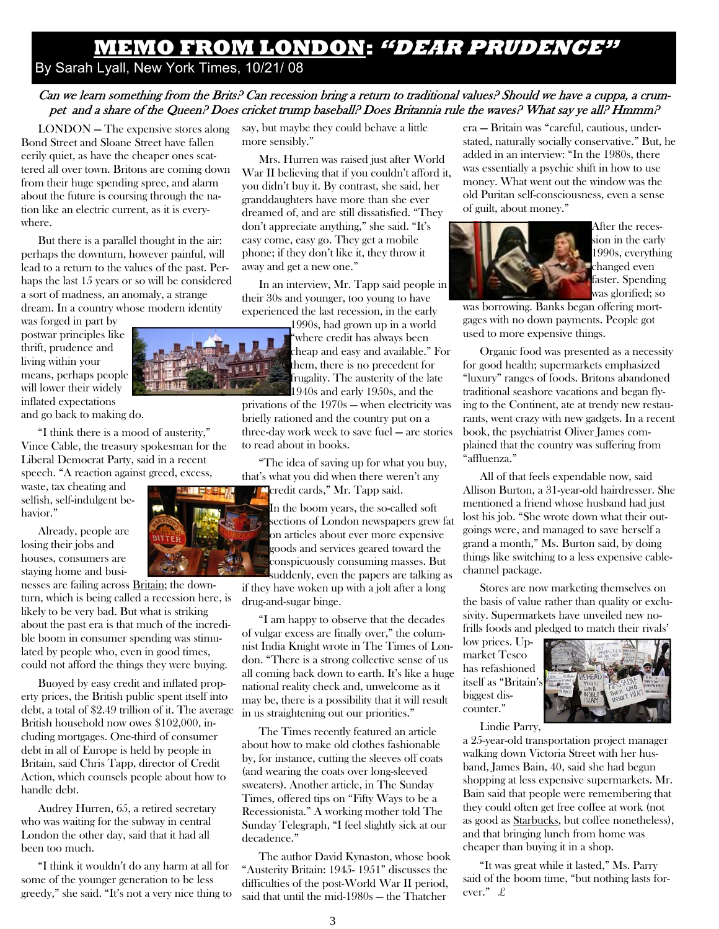### **MEMO FROM LONDON: "DEAR PRUDENCE"**

By Sarah Lyall, New York Times, 10/21/ 08

### Can we learn something from the Brits? Can recession bring a return to traditional values? Should we have a cuppa, a crumpet and a share of the Queen? Does cricket trump baseball? Does Britannia rule the waves? What say ye all? Hmmm?

LONDON — The expensive stores along Bond Street and Sloane Street have fallen eerily quiet, as have the cheaper ones scattered all over town. Britons are coming down from their huge spending spree, and alarm about the future is coursing through the nation like an electric current, as it is everywhere.

But there is a parallel thought in the air: perhaps the downturn, however painful, will lead to a return to the values of the past. Perhaps the last 15 years or so will be considered a sort of madness, an anomaly, a strange dream. In a country whose modern identity

was forged in part by postwar principles like thrift, prudence and living within your means, perhaps people will lower their widely inflated expectations and go back to making do.

"I think there is a mood of austerity," Vince Cable, the treasury spokesman for the Liberal Democrat Party, said in a recent speech. "A reaction against greed, excess,

waste, tax cheating and selfish, self-indulgent behavior."

Already, people are losing their jobs and houses, consumers are staying home and busi-

nesses are failing across Britain; the downturn, which is being called a recession here, is likely to be very bad. But what is striking about the past era is that much of the incredible boom in consumer spending was stimulated by people who, even in good times, could not afford the things they were buying.

Buoyed by easy credit and inflated property prices, the British public spent itself into debt, a total of \$2.49 trillion of it. The average British household now owes \$102,000, including mortgages. One-third of consumer debt in all of Europe is held by people in Britain, said Chris Tapp, director of Credit Action, which counsels people about how to handle debt.

Audrey Hurren, 65, a retired secretary who was waiting for the subway in central London the other day, said that it had all been too much.

"I think it wouldn't do any harm at all for some of the younger generation to be less greedy," she said. "It's not a very nice thing to say, but maybe they could behave a little more sensibly."

Mrs. Hurren was raised just after World War II believing that if you couldn't afford it, you didn't buy it. By contrast, she said, her granddaughters have more than she ever dreamed of, and are still dissatisfied. "They don't appreciate anything," she said. "It's easy come, easy go. They get a mobile phone; if they don't like it, they throw it away and get a new one."

In an interview, Mr. Tapp said people in their 30s and younger, too young to have experienced the last recession, in the early

> 1990s, had grown up in a world "where credit has always been cheap and easy and available." For them, there is no precedent for frugality. The austerity of the late 1940s and early 1950s, and the

privations of the 1970s — when electricity was briefly rationed and the country put on a three-day work week to save fuel — are stories to read about in books.

"The idea of saving up for what you buy, that's what you did when there weren't any credit cards," Mr. Tapp said.

In the boom years, the so-called soft sections of London newspapers grew fat on articles about ever more expensive goods and services geared toward the conspicuously consuming masses. But suddenly, even the papers are talking as

if they have woken up with a jolt after a long drug-and-sugar binge.

"I am happy to observe that the decades of vulgar excess are finally over," the columnist India Knight wrote in The Times of London. "There is a strong collective sense of us all coming back down to earth. It's like a huge national reality check and, unwelcome as it may be, there is a possibility that it will result in us straightening out our priorities."

The Times recently featured an article about how to make old clothes fashionable by, for instance, cutting the sleeves off coats (and wearing the coats over long-sleeved sweaters). Another article, in The Sunday Times, offered tips on "Fifty Ways to be a Recessionista." A working mother told The Sunday Telegraph, "I feel slightly sick at our decadence."

The author David Kynaston, whose book "Austerity Britain: 1945- 1951" discusses the difficulties of the post-World War II period, said that until the mid-1980s — the Thatcher

3

era — Britain was "careful, cautious, understated, naturally socially conservative." But, he added in an interview: "In the 1980s, there was essentially a psychic shift in how to use money. What went out the window was the old Puritan self-consciousness, even a sense of guilt, about money."



After the recession in the early 1990s, everything changed even faster. Spending was glorified; so

was borrowing. Banks began offering mortgages with no down payments. People got used to more expensive things.

Organic food was presented as a necessity for good health; supermarkets emphasized "luxury" ranges of foods. Britons abandoned traditional seashore vacations and began flying to the Continent, ate at trendy new restaurants, went crazy with new gadgets. In a recent book, the psychiatrist Oliver James complained that the country was suffering from "affluenza."

All of that feels expendable now, said Allison Burton, a 31-year-old hairdresser. She mentioned a friend whose husband had just lost his job. "She wrote down what their outgoings were, and managed to save herself a grand a month," Ms. Burton said, by doing things like switching to a less expensive cablechannel package.

Stores are now marketing themselves on the basis of value rather than quality or exclusivity. Supermarkets have unveiled new nofrills foods and pledged to match their rivals'

low prices. Upmarket Tesco has refashioned itself as "Britain's biggest discounter."



Lindie Parry,

a 25-year-old transportation project manager walking down Victoria Street with her husband, James Bain, 40, said she had begun shopping at less expensive supermarkets. Mr. Bain said that people were remembering that they could often get free coffee at work (not as good as Starbucks, but coffee nonetheless), and that bringing lunch from home was cheaper than buying it in a shop.

"It was great while it lasted," Ms. Parry said of the boom time, "but nothing lasts forever." £



**TILL LESS**